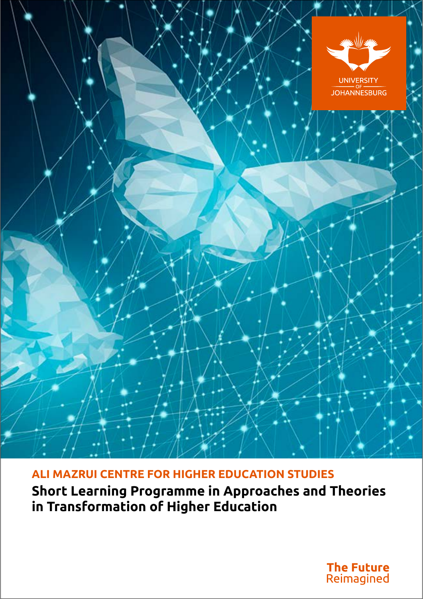

# **ALI MAZRUI CENTRE FOR HIGHER EDUCATION STUDIES**

**Short Learning Programme in Approaches and Theories in Transformation of Higher Education**

> **The Future** Reimagined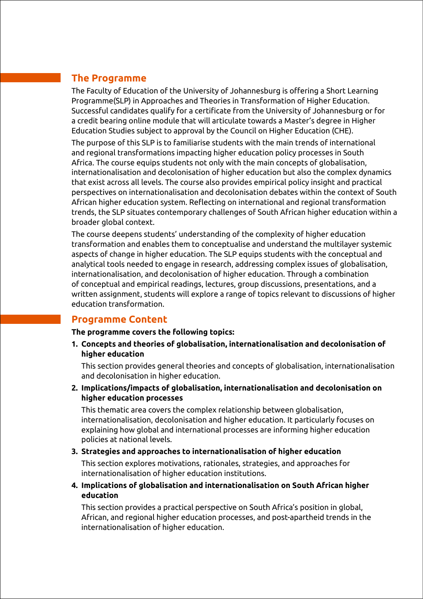# **The Programme**

The Faculty of Education of the University of Johannesburg is offering a Short Learning Programme(SLP) in Approaches and Theories in Transformation of Higher Education. Successful candidates qualify for a certificate from the University of Johannesburg or for a credit bearing online module that will articulate towards a Master's degree in Higher Education Studies subject to approval by the Council on Higher Education (CHE).

The purpose of this SLP is to familiarise students with the main trends of international and regional transformations impacting higher education policy processes in South Africa. The course equips students not only with the main concepts of globalisation, internationalisation and decolonisation of higher education but also the complex dynamics that exist across all levels. The course also provides empirical policy insight and practical perspectives on internationalisation and decolonisation debates within the context of South African higher education system. Reflecting on international and regional transformation trends, the SLP situates contemporary challenges of South African higher education within a broader global context.

The course deepens students' understanding of the complexity of higher education transformation and enables them to conceptualise and understand the multilayer systemic aspects of change in higher education. The SLP equips students with the conceptual and analytical tools needed to engage in research, addressing complex issues of globalisation, internationalisation, and decolonisation of higher education. Through a combination of conceptual and empirical readings, lectures, group discussions, presentations, and a written assignment, students will explore a range of topics relevant to discussions of higher education transformation.

### **Programme Content**

**The programme covers the following topics:**

**1. Concepts and theories of globalisation, internationalisation and decolonisation of higher education**

This section provides general theories and concepts of globalisation, internationalisation and decolonisation in higher education.

**2. Implications/impacts of globalisation, internationalisation and decolonisation on higher education processes**

This thematic area covers the complex relationship between globalisation, internationalisation, decolonisation and higher education. It particularly focuses on explaining how global and international processes are informing higher education policies at national levels.

#### **3. Strategies and approaches to internationalisation of higher education**

This section explores motivations, rationales, strategies, and approaches for internationalisation of higher education institutions.

**4. Implications of globalisation and internationalisation on South African higher education** 

This section provides a practical perspective on South Africa's position in global, African, and regional higher education processes, and post-apartheid trends in the internationalisation of higher education.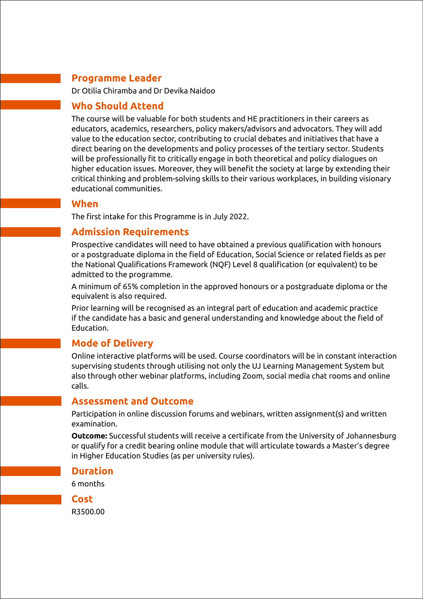# **Programme Leader**

Dr Otilia Chiramba and Dr Devika Naidoo

# **Who Should Attend**

The course will be valuable for both students and HE practitioners in their careers as educators, academics, researchers, policy makers/advisors and advocators. They will add value to the education sector, contributing to crucial debates and initiatives that have a direct bearing on the developments and policy processes of the tertiary sector. Students will be professionally fit to critically engage in both theoretical and policy dialogues on higher education issues. Moreover, they will benefit the society at large by extending their critical thinking and problem-solving skills to their various workplaces, in building visionary educational communities.

# **When**

The first intake for this Programme is in July 2022.

# **Admission Requirements**

Prospective candidates will need to have obtained a previous qualification with honours or a postgraduate diploma in the field of Education, Social Science or related fields as per the National Qualifications Framework (NQF) Level 8 qualification (or equivalent) to be admitted to the programme.

A minimum of 65% completion in the approved honours or a postgraduate diploma or the equivalent is also required.

Prior learning will be recognised as an integral part of education and academic practice if the candidate has a basic and general understanding and knowledge about the field of Education.

### **Mode of Delivery**

Online interactive platforms will be used. Course coordinators will be in constant interaction supervising students through utilising not only the UJ Learning Management System but also through other webinar platforms, including Zoom, social media chat rooms and online calls.

### **Assessment and Outcome**

Participation in online discussion forums and webinars, written assignment(s) and written examination.

**Outcome:** Successful students will receive a certificate from the University of Johannesburg or qualify for a credit bearing online module that will articulate towards a Master's degree in Higher Education Studies (as per university rules).

#### **Duration**

6 months

#### **Cost**

R3500.00